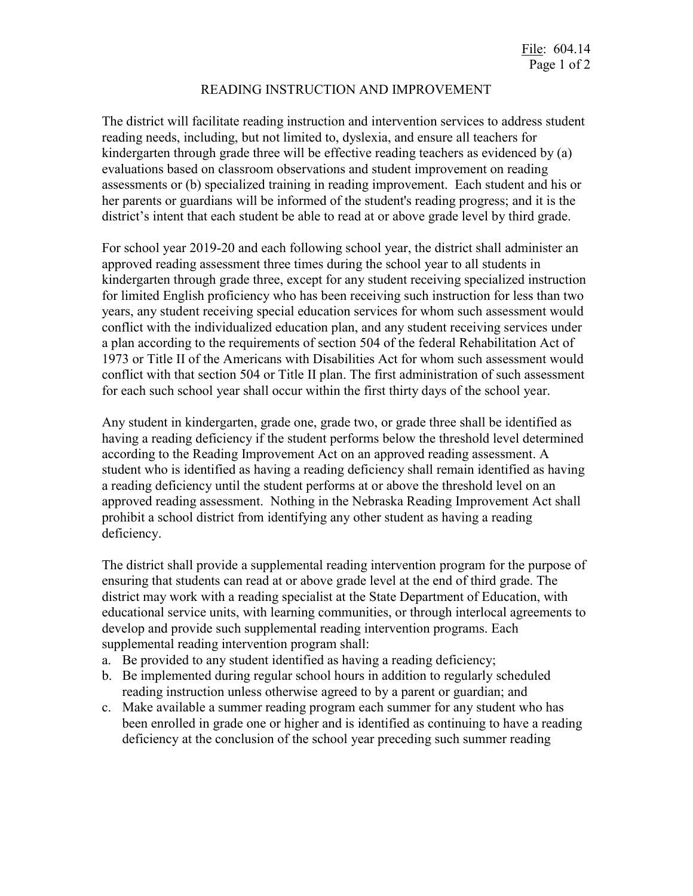## READING INSTRUCTION AND IMPROVEMENT

The district will facilitate reading instruction and intervention services to address student reading needs, including, but not limited to, dyslexia, and ensure all teachers for kindergarten through grade three will be effective reading teachers as evidenced by (a) evaluations based on classroom observations and student improvement on reading assessments or (b) specialized training in reading improvement. Each student and his or her parents or guardians will be informed of the student's reading progress; and it is the district's intent that each student be able to read at or above grade level by third grade.

For school year 2019-20 and each following school year, the district shall administer an approved reading assessment three times during the school year to all students in kindergarten through grade three, except for any student receiving specialized instruction for limited English proficiency who has been receiving such instruction for less than two years, any student receiving special education services for whom such assessment would conflict with the individualized education plan, and any student receiving services under a plan according to the requirements of section 504 of the federal Rehabilitation Act of 1973 or Title II of the Americans with Disabilities Act for whom such assessment would conflict with that section 504 or Title II plan. The first administration of such assessment for each such school year shall occur within the first thirty days of the school year.

Any student in kindergarten, grade one, grade two, or grade three shall be identified as having a reading deficiency if the student performs below the threshold level determined according to the Reading Improvement Act on an approved reading assessment. A student who is identified as having a reading deficiency shall remain identified as having a reading deficiency until the student performs at or above the threshold level on an approved reading assessment. Nothing in the Nebraska Reading Improvement Act shall prohibit a school district from identifying any other student as having a reading deficiency.

The district shall provide a supplemental reading intervention program for the purpose of ensuring that students can read at or above grade level at the end of third grade. The district may work with a reading specialist at the State Department of Education, with educational service units, with learning communities, or through interlocal agreements to develop and provide such supplemental reading intervention programs. Each supplemental reading intervention program shall:

- a. Be provided to any student identified as having a reading deficiency;
- b. Be implemented during regular school hours in addition to regularly scheduled reading instruction unless otherwise agreed to by a parent or guardian; and
- c. Make available a summer reading program each summer for any student who has been enrolled in grade one or higher and is identified as continuing to have a reading deficiency at the conclusion of the school year preceding such summer reading